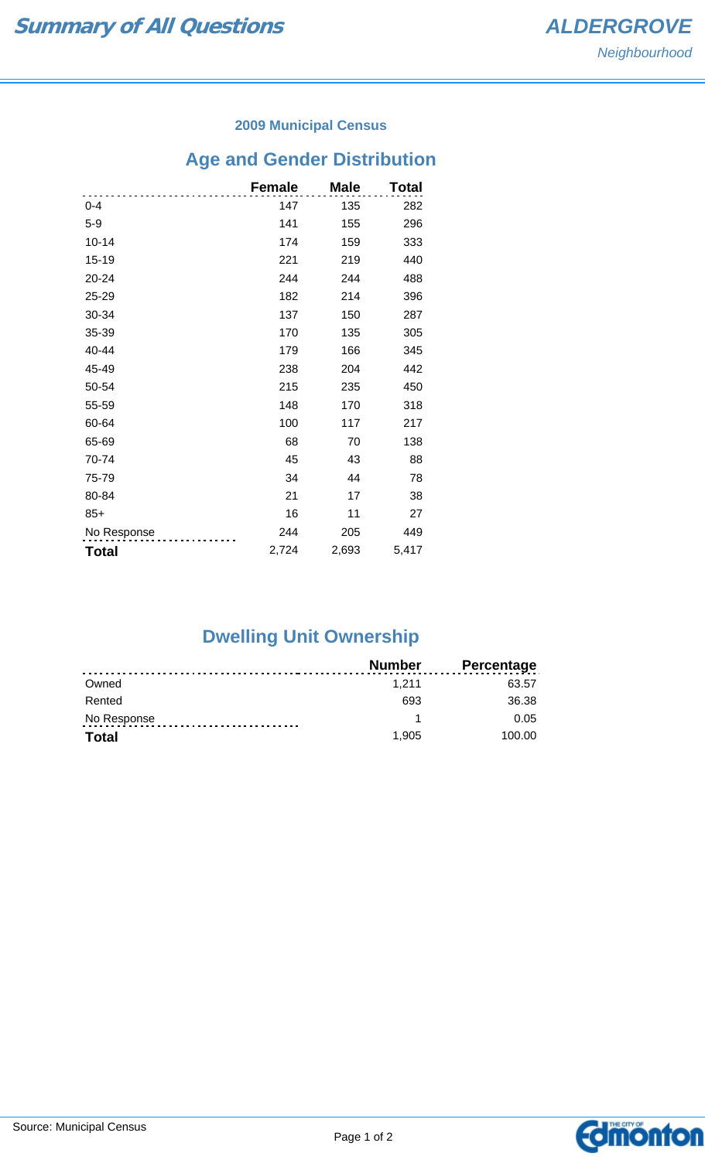#### **2009 Municipal Census**

# **Age and Gender Distribution**

|              | <b>Female</b> | <b>Male</b> | Total |
|--------------|---------------|-------------|-------|
| $0 - 4$      | 147           | 135         | 282   |
| $5-9$        | 141           | 155         | 296   |
| $10 - 14$    | 174           | 159         | 333   |
| 15-19        | 221           | 219         | 440   |
| 20-24        | 244           | 244         | 488   |
| 25-29        | 182           | 214         | 396   |
| 30-34        | 137           | 150         | 287   |
| 35-39        | 170           | 135         | 305   |
| 40-44        | 179           | 166         | 345   |
| 45-49        | 238           | 204         | 442   |
| 50-54        | 215           | 235         | 450   |
| 55-59        | 148           | 170         | 318   |
| 60-64        | 100           | 117         | 217   |
| 65-69        | 68            | 70          | 138   |
| 70-74        | 45            | 43          | 88    |
| 75-79        | 34            | 44          | 78    |
| 80-84        | 21            | 17          | 38    |
| $85+$        | 16            | 11          | 27    |
| No Response  | 244           | 205         | 449   |
| <b>Total</b> | 2,724         | 2,693       | 5,417 |

## **Dwelling Unit Ownership**

|              | Number | <b>Percentage</b> |
|--------------|--------|-------------------|
| Owned        | 1.211  | 63.57             |
| Rented       | 693    | 36.38             |
| No Response  |        | 0.05              |
| <b>Total</b> | 1.905  | 100.00            |